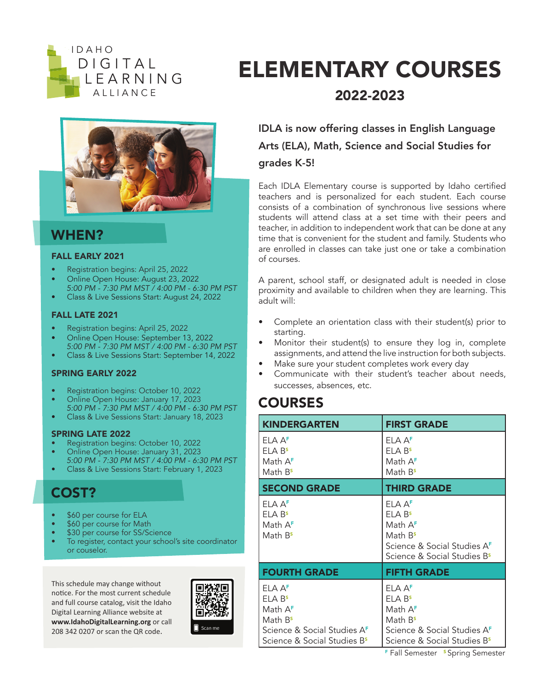



### WHEN?

#### FALL EARLY 2021

- Registration begins: April 25, 2022
- Online Open House: August 23, 2022
- *5:00 PM 7:30 PM MST / 4:00 PM 6:30 PM PST*  • Class & Live Sessions Start: August 24, 2022

#### FALL LATE 2021

- Registration begins: April 25, 2022
- Online Open House: September 13, 2022
- *5:00 PM 7:30 PM MST / 4:00 PM 6:30 PM PST*  • Class & Live Sessions Start: September 14, 2022

#### SPRING EARLY 2022

- Registration begins: October 10, 2022
- Online Open House: January 17, 2023 *5:00 PM - 7:30 PM MST / 4:00 PM - 6:30 PM PST*
- Class & Live Sessions Start: January 18, 2023

#### SPRING LATE 2022

- Registration begins: October 10, 2022
- Online Open House: January 31, 2023
- *5:00 PM 7:30 PM MST / 4:00 PM 6:30 PM PST*  • Class & Live Sessions Start: February 1, 2023

## COST?

- \$60 per course for ELA
- \$60 per course for Math
- \$30 per course for SS/Science
- To register, contact your school's site coordinator or couselor.

This schedule may change without notice. For the most current schedule and full course catalog, visit the Idaho Digital Learning Alliance website at **www.IdahoDigitalLearning.org** or call 208 342 0207 or scan the QR code.



## ELEMENTARY COURSES 2022-2023

## IDLA is now offering classes in English Language Arts (ELA), Math, Science and Social Studies for grades K-5!

Each IDLA Elementary course is supported by Idaho certified teachers and is personalized for each student. Each course consists of a combination of synchronous live sessions where students will attend class at a set time with their peers and teacher, in addition to independent work that can be done at any time that is convenient for the student and family. Students who are enrolled in classes can take just one or take a combination of courses.

A parent, school staff, or designated adult is needed in close proximity and available to children when they are learning. This adult will:

- Complete an orientation class with their student(s) prior to starting.
- Monitor their student(s) to ensure they log in, complete assignments, and attend the live instruction for both subjects.
- Make sure your student completes work every day
- Communicate with their student's teacher about needs, successes, absences, etc.

## **COURSES**

| <b>KINDERGARTEN</b>                                                                                                                                                | <b>FIRST GRADE</b>                                                                                                                                                             |
|--------------------------------------------------------------------------------------------------------------------------------------------------------------------|--------------------------------------------------------------------------------------------------------------------------------------------------------------------------------|
| FI A A <sup>F</sup><br>FI A B <sup>s</sup><br>Math A <sup>F</sup><br>Math B <sup>s</sup>                                                                           | ELA AF<br>FI A B <sup>s</sup><br>Math A <sup>F</sup><br>Math B <sup>s</sup>                                                                                                    |
| <b>SECOND GRADE</b>                                                                                                                                                | <b>THIRD GRADE</b>                                                                                                                                                             |
| FI A A <sup>F</sup><br>FI A B <sup>s</sup><br>Math A <sup>F</sup><br>Math B <sup>s</sup>                                                                           | ELA AF<br>FI A B <sup>s</sup><br>Math A <sup>F</sup><br>Math B <sup>s</sup><br>Science & Social Studies AF<br>Science & Social Studies B <sup>s</sup>                          |
| <b>FOURTH GRADE</b>                                                                                                                                                | <b>FIFTH GRADE</b>                                                                                                                                                             |
| FI A A <sup>F</sup><br>FI A B <sup>s</sup><br>Math A <sup>F</sup><br>Math B <sup>s</sup><br>Science & Social Studies AF<br>Science & Social Studies B <sup>s</sup> | FI A A <sup>F</sup><br>FI A B <sup>s</sup><br>Math A <sup>F</sup><br>Math B <sup>s</sup><br>Science & Social Studies A <sup>F</sup><br>Science & Social Studies B <sup>s</sup> |

F Fall Semester <sup>s</sup> Spring Semester